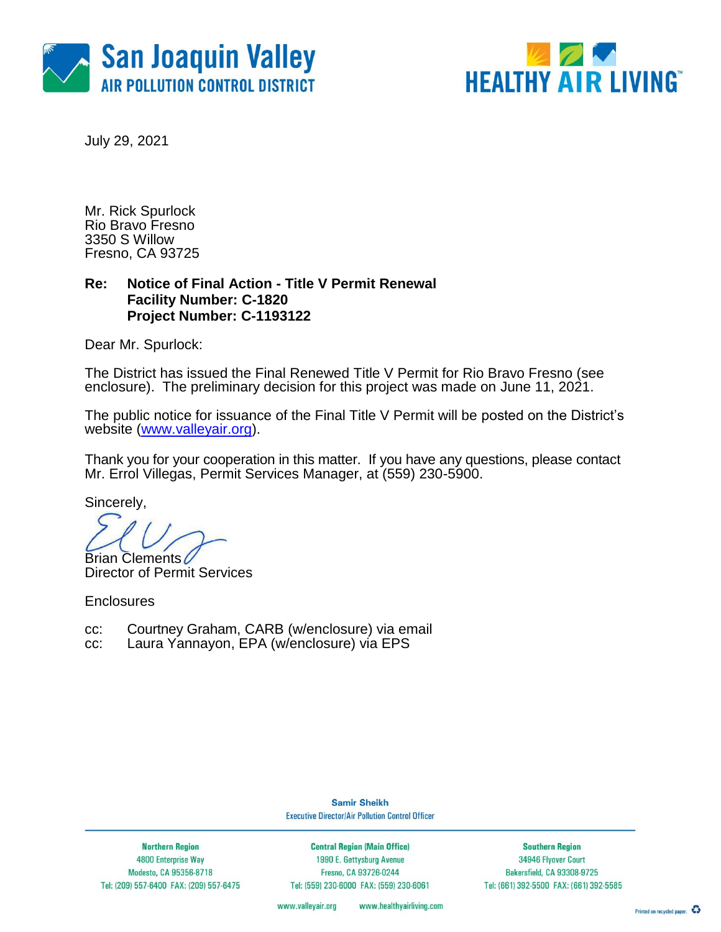



July 29, 2021

Mr. Rick Spurlock Rio Bravo Fresno 3350 S Willow Fresno, CA 93725

### **Re: Notice of Final Action - Title V Permit Renewal Facility Number: C-1820 Project Number: C-1193122**

Dear Mr. Spurlock:

The District has issued the Final Renewed Title V Permit for Rio Bravo Fresno (see enclosure). The preliminary decision for this project was made on June 11, 2021.

The public notice for issuance of the Final Title V Permit will be posted on the District's website [\(www.valleyair.org\)](http://www.valleyair.org/).

Thank you for your cooperation in this matter. If you have any questions, please contact Mr. Errol Villegas, Permit Services Manager, at (559) 230-5900.

Sincerely,

Brian Clements

Director of Permit Services

**Enclosures** 

- cc: Courtney Graham, CARB (w/enclosure) via email
- cc: Laura Yannayon, EPA (w/enclosure) via EPS

**Samir Sheikh Executive Director/Air Pollution Control Officer** 

**Northern Region** 4800 Enterprise Way Modesto, CA 95356-8718 Tel: (209) 557-6400 FAX: (209) 557-6475

**Central Region (Main Office)** 1990 E. Gettysburg Avenue Fresno, CA 93726-0244 Tel: (559) 230-6000 FAX: (559) 230-6061

**Southern Region** 34946 Flyover Court Bakersfield, CA 93308-9725 Tel: (661) 392-5500 FAX: (661) 392-5585

www.valleyair.org www.healthyairliving.com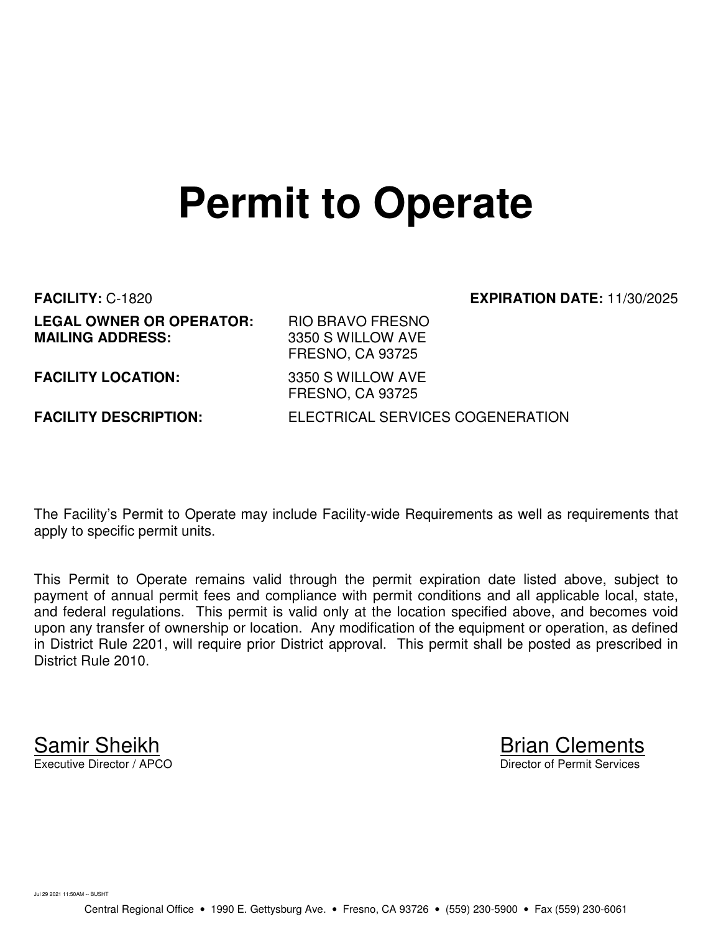# **Permit to Operate**

**FACILITY:** C-1820 **EXPIRATION DATE:** 11/30/2025 **LEGAL OWNER OR OPERATOR:** RIO BRAVO FRESNO<br>**MAILING ADDRESS:** 3350 S WILLOW AVE

**MAILING ADDRESS:** 3350 S WILLOW AVE FRESNO, CA 93725 **FACILITY LOCATION:** 3350 S WILLOW AVE FRESNO, CA 93725 **FACILITY DESCRIPTION:** ELECTRICAL SERVICES COGENERATION

The Facility's Permit to Operate may include Facility-wide Requirements as well as requirements that apply to specific permit units.

This Permit to Operate remains valid through the permit expiration date listed above, subject to payment of annual permit fees and compliance with permit conditions and all applicable local, state, and federal regulations. This permit is valid only at the location specified above, and becomes void upon any transfer of ownership or location. Any modification of the equipment or operation, as defined in District Rule 2201, will require prior District approval. This permit shall be posted as prescribed in District Rule 2010.

Samir Sheikh Brian Clements<br>Executive Director / APCO Director of Permit Services

Jul 29 2021 11:50AM -- BUSHT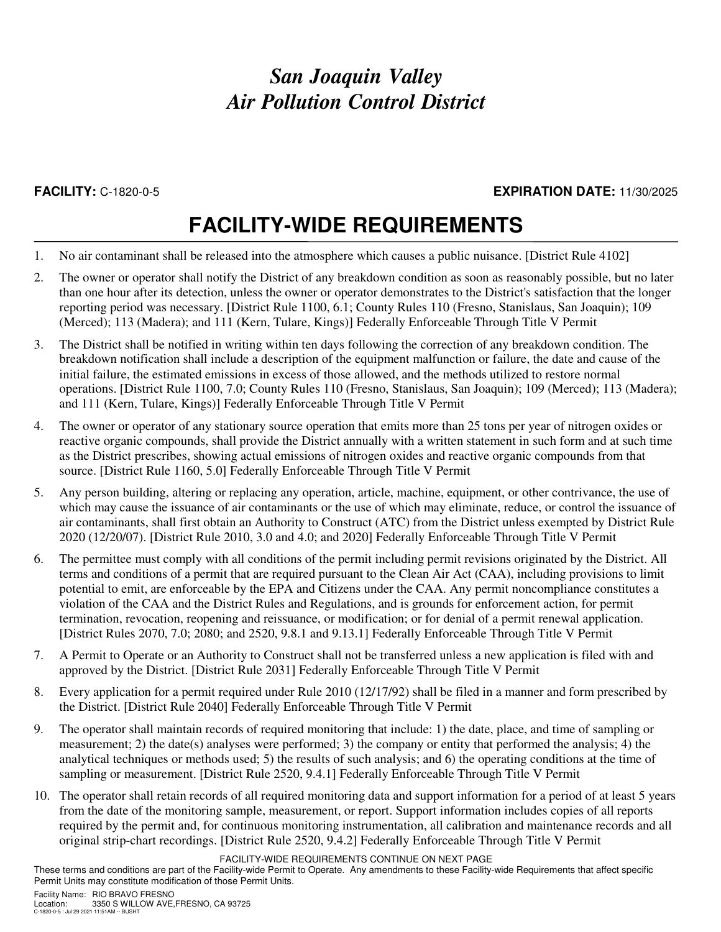### **FACILITY:** C-1820-0-5 **EXPIRATION DATE:** 11/30/2025

## **FACILITY-WIDE REQUIREMENTS**

- 1. No air contaminant shall be released into the atmosphere which causes a public nuisance. [District Rule 4102]
- 2. The owner or operator shall notify the District of any breakdown condition as soon as reasonably possible, but no later than one hour after its detection, unless the owner or operator demonstrates to the District's satisfaction that the longer reporting period was necessary. [District Rule 1100, 6.1; County Rules 110 (Fresno, Stanislaus, San Joaquin); 109 (Merced); 113 (Madera); and 111 (Kern, Tulare, Kings)] Federally Enforceable Through Title V Permit
- 3. The District shall be notified in writing within ten days following the correction of any breakdown condition. The breakdown notification shall include a description of the equipment malfunction or failure, the date and cause of the initial failure, the estimated emissions in excess of those allowed, and the methods utilized to restore normal operations. [District Rule 1100, 7.0; County Rules 110 (Fresno, Stanislaus, San Joaquin); 109 (Merced); 113 (Madera); and 111 (Kern, Tulare, Kings)] Federally Enforceable Through Title V Permit
- 4. The owner or operator of any stationary source operation that emits more than 25 tons per year of nitrogen oxides or reactive organic compounds, shall provide the District annually with a written statement in such form and at such time as the District prescribes, showing actual emissions of nitrogen oxides and reactive organic compounds from that source. [District Rule 1160, 5.0] Federally Enforceable Through Title V Permit
- 5. Any person building, altering or replacing any operation, article, machine, equipment, or other contrivance, the use of which may cause the issuance of air contaminants or the use of which may eliminate, reduce, or control the issuance of air contaminants, shall first obtain an Authority to Construct (ATC) from the District unless exempted by District Rule 2020 (12/20/07). [District Rule 2010, 3.0 and 4.0; and 2020] Federally Enforceable Through Title V Permit
- 6. The permittee must comply with all conditions of the permit including permit revisions originated by the District. All terms and conditions of a permit that are required pursuant to the Clean Air Act (CAA), including provisions to limit potential to emit, are enforceable by the EPA and Citizens under the CAA. Any permit noncompliance constitutes a violation of the CAA and the District Rules and Regulations, and is grounds for enforcement action, for permit termination, revocation, reopening and reissuance, or modification; or for denial of a permit renewal application. [District Rules 2070, 7.0; 2080; and 2520, 9.8.1 and 9.13.1] Federally Enforceable Through Title V Permit
- 7. A Permit to Operate or an Authority to Construct shall not be transferred unless a new application is filed with and approved by the District. [District Rule 2031] Federally Enforceable Through Title V Permit
- 8. Every application for a permit required under Rule 2010 (12/17/92) shall be filed in a manner and form prescribed by the District. [District Rule 2040] Federally Enforceable Through Title V Permit
- 9. The operator shall maintain records of required monitoring that include: 1) the date, place, and time of sampling or measurement; 2) the date(s) analyses were performed; 3) the company or entity that performed the analysis; 4) the analytical techniques or methods used; 5) the results of such analysis; and 6) the operating conditions at the time of sampling or measurement. [District Rule 2520, 9.4.1] Federally Enforceable Through Title V Permit
- 10. The operator shall retain records of all required monitoring data and support information for a period of at least 5 years from the date of the monitoring sample, measurement, or report. Support information includes copies of all reports required by the permit and, for continuous monitoring instrumentation, all calibration and maintenance records and all original strip-chart recordings. [District Rule 2520, 9.4.2] Federally Enforceable Through Title V Permit

FACILITY-WIDE REQUIREMENTS CONTINUE ON NEXT PAGE

These terms and conditions are part of the Facility-wide Permit to Operate. Any amendments to these Facility-wide Requirements that affect specific Permit Units may constitute modification of those Permit Units.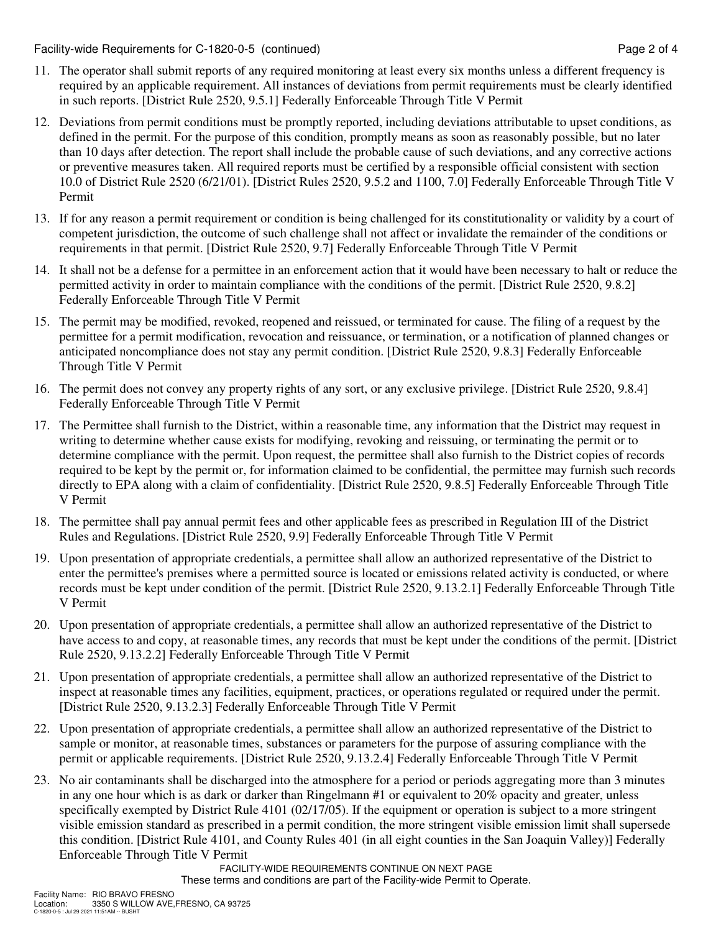Facility-wide Requirements for C-1820-0-5 (continued) Page 2 of 4

- 11. The operator shall submit reports of any required monitoring at least every six months unless a different frequency is required by an applicable requirement. All instances of deviations from permit requirements must be clearly identified in such reports. [District Rule 2520, 9.5.1] Federally Enforceable Through Title V Permit
- 12. Deviations from permit conditions must be promptly reported, including deviations attributable to upset conditions, as defined in the permit. For the purpose of this condition, promptly means as soon as reasonably possible, but no later than 10 days after detection. The report shall include the probable cause of such deviations, and any corrective actions or preventive measures taken. All required reports must be certified by a responsible official consistent with section 10.0 of District Rule 2520 (6/21/01). [District Rules 2520, 9.5.2 and 1100, 7.0] Federally Enforceable Through Title V Permit
- 13. If for any reason a permit requirement or condition is being challenged for its constitutionality or validity by a court of competent jurisdiction, the outcome of such challenge shall not affect or invalidate the remainder of the conditions or requirements in that permit. [District Rule 2520, 9.7] Federally Enforceable Through Title V Permit
- 14. It shall not be a defense for a permittee in an enforcement action that it would have been necessary to halt or reduce the permitted activity in order to maintain compliance with the conditions of the permit. [District Rule 2520, 9.8.2] Federally Enforceable Through Title V Permit
- 15. The permit may be modified, revoked, reopened and reissued, or terminated for cause. The filing of a request by the permittee for a permit modification, revocation and reissuance, or termination, or a notification of planned changes or anticipated noncompliance does not stay any permit condition. [District Rule 2520, 9.8.3] Federally Enforceable Through Title V Permit
- 16. The permit does not convey any property rights of any sort, or any exclusive privilege. [District Rule 2520, 9.8.4] Federally Enforceable Through Title V Permit
- 17. The Permittee shall furnish to the District, within a reasonable time, any information that the District may request in writing to determine whether cause exists for modifying, revoking and reissuing, or terminating the permit or to determine compliance with the permit. Upon request, the permittee shall also furnish to the District copies of records required to be kept by the permit or, for information claimed to be confidential, the permittee may furnish such records directly to EPA along with a claim of confidentiality. [District Rule 2520, 9.8.5] Federally Enforceable Through Title V Permit
- 18. The permittee shall pay annual permit fees and other applicable fees as prescribed in Regulation III of the District Rules and Regulations. [District Rule 2520, 9.9] Federally Enforceable Through Title V Permit
- 19. Upon presentation of appropriate credentials, a permittee shall allow an authorized representative of the District to enter the permittee's premises where a permitted source is located or emissions related activity is conducted, or where records must be kept under condition of the permit. [District Rule 2520, 9.13.2.1] Federally Enforceable Through Title V Permit
- 20. Upon presentation of appropriate credentials, a permittee shall allow an authorized representative of the District to have access to and copy, at reasonable times, any records that must be kept under the conditions of the permit. [District Rule 2520, 9.13.2.2] Federally Enforceable Through Title V Permit
- 21. Upon presentation of appropriate credentials, a permittee shall allow an authorized representative of the District to inspect at reasonable times any facilities, equipment, practices, or operations regulated or required under the permit. [District Rule 2520, 9.13.2.3] Federally Enforceable Through Title V Permit
- 22. Upon presentation of appropriate credentials, a permittee shall allow an authorized representative of the District to sample or monitor, at reasonable times, substances or parameters for the purpose of assuring compliance with the permit or applicable requirements. [District Rule 2520, 9.13.2.4] Federally Enforceable Through Title V Permit
- 23. No air contaminants shall be discharged into the atmosphere for a period or periods aggregating more than 3 minutes in any one hour which is as dark or darker than Ringelmann #1 or equivalent to 20% opacity and greater, unless specifically exempted by District Rule 4101 (02/17/05). If the equipment or operation is subject to a more stringent visible emission standard as prescribed in a permit condition, the more stringent visible emission limit shall supersede this condition. [District Rule 4101, and County Rules 401 (in all eight counties in the San Joaquin Valley)] Federally Enforceable Through Title V Permit

FACILITY-WIDE REQUIREMENTS CONTINUE ON NEXT PAGE These terms and conditions are part of the Facility-wide Permit to Operate.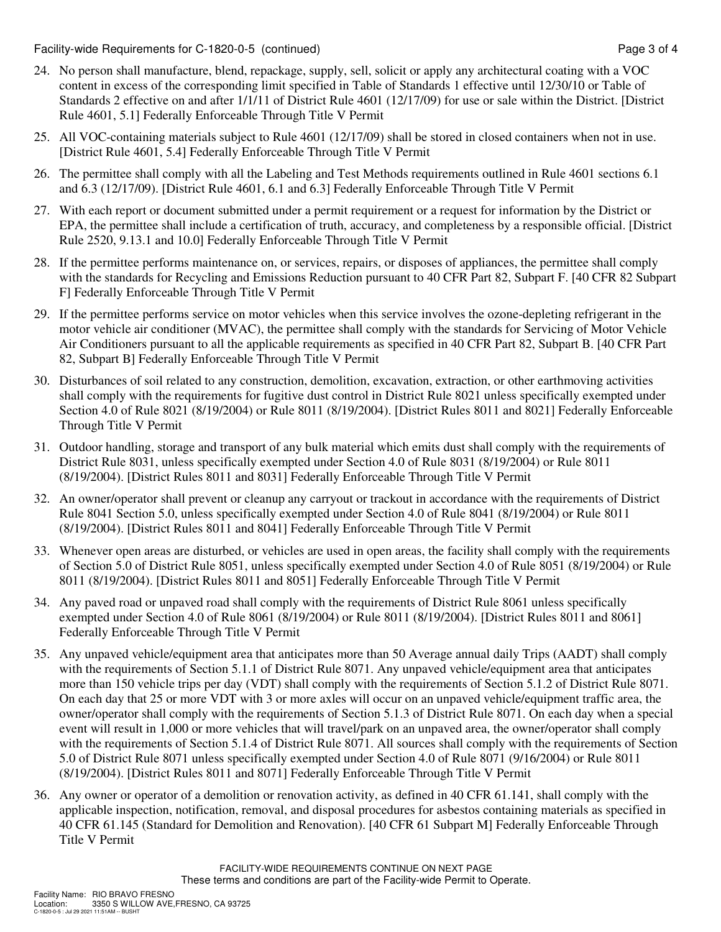Facility-wide Requirements for C-1820-0-5 (continued) Page 3 of 4

- 24. No person shall manufacture, blend, repackage, supply, sell, solicit or apply any architectural coating with a VOC content in excess of the corresponding limit specified in Table of Standards 1 effective until 12/30/10 or Table of Standards 2 effective on and after 1/1/11 of District Rule 4601 (12/17/09) for use or sale within the District. [District Rule 4601, 5.1] Federally Enforceable Through Title V Permit
- 25. All VOC-containing materials subject to Rule 4601 (12/17/09) shall be stored in closed containers when not in use. [District Rule 4601, 5.4] Federally Enforceable Through Title V Permit
- 26. The permittee shall comply with all the Labeling and Test Methods requirements outlined in Rule 4601 sections 6.1 and 6.3 (12/17/09). [District Rule 4601, 6.1 and 6.3] Federally Enforceable Through Title V Permit
- 27. With each report or document submitted under a permit requirement or a request for information by the District or EPA, the permittee shall include a certification of truth, accuracy, and completeness by a responsible official. [District Rule 2520, 9.13.1 and 10.0] Federally Enforceable Through Title V Permit
- 28. If the permittee performs maintenance on, or services, repairs, or disposes of appliances, the permittee shall comply with the standards for Recycling and Emissions Reduction pursuant to 40 CFR Part 82, Subpart F. [40 CFR 82 Subpart F] Federally Enforceable Through Title V Permit
- 29. If the permittee performs service on motor vehicles when this service involves the ozone-depleting refrigerant in the motor vehicle air conditioner (MVAC), the permittee shall comply with the standards for Servicing of Motor Vehicle Air Conditioners pursuant to all the applicable requirements as specified in 40 CFR Part 82, Subpart B. [40 CFR Part 82, Subpart B] Federally Enforceable Through Title V Permit
- 30. Disturbances of soil related to any construction, demolition, excavation, extraction, or other earthmoving activities shall comply with the requirements for fugitive dust control in District Rule 8021 unless specifically exempted under Section 4.0 of Rule 8021 (8/19/2004) or Rule 8011 (8/19/2004). [District Rules 8011 and 8021] Federally Enforceable Through Title V Permit
- 31. Outdoor handling, storage and transport of any bulk material which emits dust shall comply with the requirements of District Rule 8031, unless specifically exempted under Section 4.0 of Rule 8031 (8/19/2004) or Rule 8011 (8/19/2004). [District Rules 8011 and 8031] Federally Enforceable Through Title V Permit
- 32. An owner/operator shall prevent or cleanup any carryout or trackout in accordance with the requirements of District Rule 8041 Section 5.0, unless specifically exempted under Section 4.0 of Rule 8041 (8/19/2004) or Rule 8011 (8/19/2004). [District Rules 8011 and 8041] Federally Enforceable Through Title V Permit
- 33. Whenever open areas are disturbed, or vehicles are used in open areas, the facility shall comply with the requirements of Section 5.0 of District Rule 8051, unless specifically exempted under Section 4.0 of Rule 8051 (8/19/2004) or Rule 8011 (8/19/2004). [District Rules 8011 and 8051] Federally Enforceable Through Title V Permit
- 34. Any paved road or unpaved road shall comply with the requirements of District Rule 8061 unless specifically exempted under Section 4.0 of Rule 8061 (8/19/2004) or Rule 8011 (8/19/2004). [District Rules 8011 and 8061] Federally Enforceable Through Title V Permit
- 35. Any unpaved vehicle/equipment area that anticipates more than 50 Average annual daily Trips (AADT) shall comply with the requirements of Section 5.1.1 of District Rule 8071. Any unpaved vehicle/equipment area that anticipates more than 150 vehicle trips per day (VDT) shall comply with the requirements of Section 5.1.2 of District Rule 8071. On each day that 25 or more VDT with 3 or more axles will occur on an unpaved vehicle/equipment traffic area, the owner/operator shall comply with the requirements of Section 5.1.3 of District Rule 8071. On each day when a special event will result in 1,000 or more vehicles that will travel/park on an unpaved area, the owner/operator shall comply with the requirements of Section 5.1.4 of District Rule 8071. All sources shall comply with the requirements of Section 5.0 of District Rule 8071 unless specifically exempted under Section 4.0 of Rule 8071 (9/16/2004) or Rule 8011 (8/19/2004). [District Rules 8011 and 8071] Federally Enforceable Through Title V Permit
- 36. Any owner or operator of a demolition or renovation activity, as defined in 40 CFR 61.141, shall comply with the applicable inspection, notification, removal, and disposal procedures for asbestos containing materials as specified in 40 CFR 61.145 (Standard for Demolition and Renovation). [40 CFR 61 Subpart M] Federally Enforceable Through Title V Permit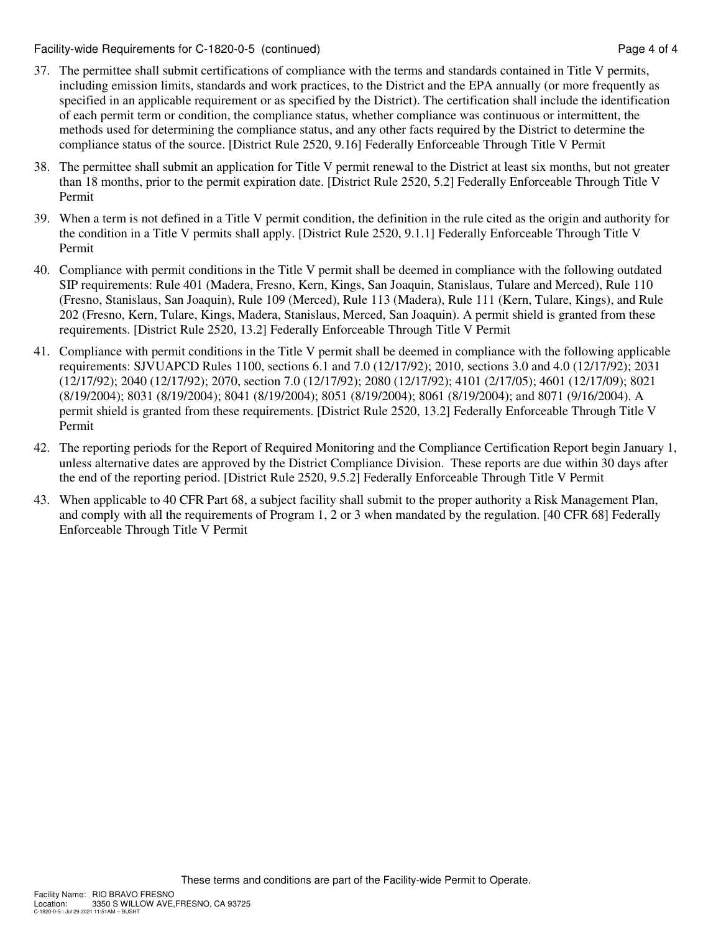Facility-wide Requirements for C-1820-0-5 (continued) Page 4 of 4

- 37. The permittee shall submit certifications of compliance with the terms and standards contained in Title V permits, including emission limits, standards and work practices, to the District and the EPA annually (or more frequently as specified in an applicable requirement or as specified by the District). The certification shall include the identification of each permit term or condition, the compliance status, whether compliance was continuous or intermittent, the methods used for determining the compliance status, and any other facts required by the District to determine the compliance status of the source. [District Rule 2520, 9.16] Federally Enforceable Through Title V Permit
- 38. The permittee shall submit an application for Title V permit renewal to the District at least six months, but not greater than 18 months, prior to the permit expiration date. [District Rule 2520, 5.2] Federally Enforceable Through Title V Permit
- 39. When a term is not defined in a Title V permit condition, the definition in the rule cited as the origin and authority for the condition in a Title V permits shall apply. [District Rule 2520, 9.1.1] Federally Enforceable Through Title V Permit
- 40. Compliance with permit conditions in the Title V permit shall be deemed in compliance with the following outdated SIP requirements: Rule 401 (Madera, Fresno, Kern, Kings, San Joaquin, Stanislaus, Tulare and Merced), Rule 110 (Fresno, Stanislaus, San Joaquin), Rule 109 (Merced), Rule 113 (Madera), Rule 111 (Kern, Tulare, Kings), and Rule 202 (Fresno, Kern, Tulare, Kings, Madera, Stanislaus, Merced, San Joaquin). A permit shield is granted from these requirements. [District Rule 2520, 13.2] Federally Enforceable Through Title V Permit
- 41. Compliance with permit conditions in the Title V permit shall be deemed in compliance with the following applicable requirements: SJVUAPCD Rules 1100, sections 6.1 and 7.0 (12/17/92); 2010, sections 3.0 and 4.0 (12/17/92); 2031 (12/17/92); 2040 (12/17/92); 2070, section 7.0 (12/17/92); 2080 (12/17/92); 4101 (2/17/05); 4601 (12/17/09); 8021 (8/19/2004); 8031 (8/19/2004); 8041 (8/19/2004); 8051 (8/19/2004); 8061 (8/19/2004); and 8071 (9/16/2004). A permit shield is granted from these requirements. [District Rule 2520, 13.2] Federally Enforceable Through Title V Permit
- 42. The reporting periods for the Report of Required Monitoring and the Compliance Certification Report begin January 1, unless alternative dates are approved by the District Compliance Division. These reports are due within 30 days after the end of the reporting period. [District Rule 2520, 9.5.2] Federally Enforceable Through Title V Permit
- 43. When applicable to 40 CFR Part 68, a subject facility shall submit to the proper authority a Risk Management Plan, and comply with all the requirements of Program 1, 2 or 3 when mandated by the regulation. [40 CFR 68] Federally Enforceable Through Title V Permit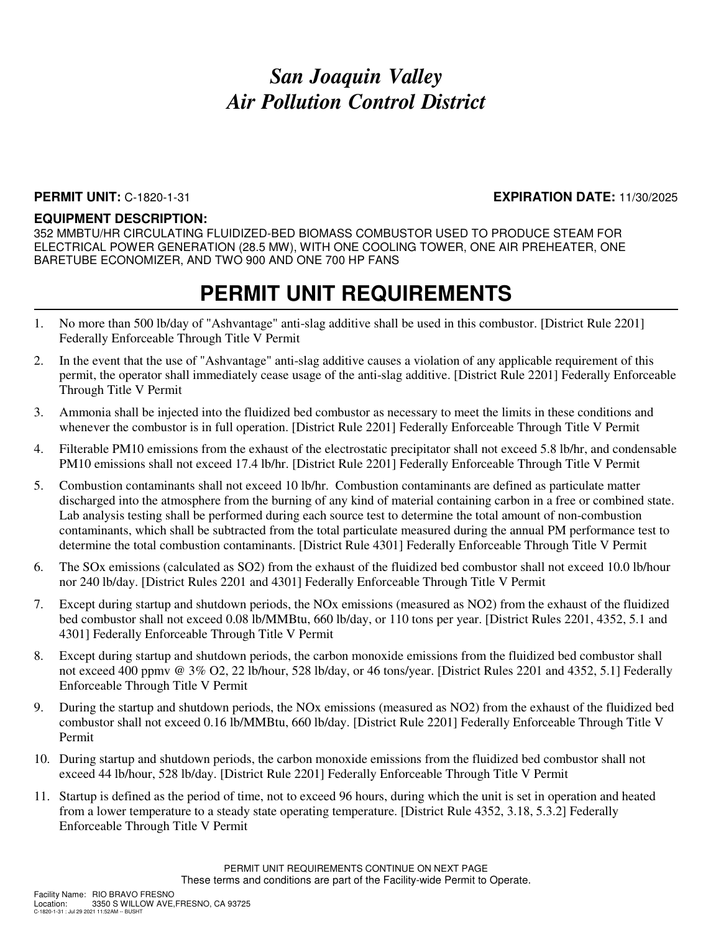### **PERMIT UNIT:** C-1820-1-31 **EXPIRATION DATE:** 11/30/2025

#### **EQUIPMENT DESCRIPTION:**

352 MMBTU/HR CIRCULATING FLUIDIZED-BED BIOMASS COMBUSTOR USED TO PRODUCE STEAM FOR ELECTRICAL POWER GENERATION (28.5 MW), WITH ONE COOLING TOWER, ONE AIR PREHEATER, ONE BARETUBE ECONOMIZER, AND TWO 900 AND ONE 700 HP FANS

- 1. No more than 500 lb/day of "Ashvantage" anti-slag additive shall be used in this combustor. [District Rule 2201] Federally Enforceable Through Title V Permit
- 2. In the event that the use of "Ashvantage" anti-slag additive causes a violation of any applicable requirement of this permit, the operator shall immediately cease usage of the anti-slag additive. [District Rule 2201] Federally Enforceable Through Title V Permit
- 3. Ammonia shall be injected into the fluidized bed combustor as necessary to meet the limits in these conditions and whenever the combustor is in full operation. [District Rule 2201] Federally Enforceable Through Title V Permit
- 4. Filterable PM10 emissions from the exhaust of the electrostatic precipitator shall not exceed 5.8 lb/hr, and condensable PM10 emissions shall not exceed 17.4 lb/hr. [District Rule 2201] Federally Enforceable Through Title V Permit
- 5. Combustion contaminants shall not exceed 10 lb/hr. Combustion contaminants are defined as particulate matter discharged into the atmosphere from the burning of any kind of material containing carbon in a free or combined state. Lab analysis testing shall be performed during each source test to determine the total amount of non-combustion contaminants, which shall be subtracted from the total particulate measured during the annual PM performance test to determine the total combustion contaminants. [District Rule 4301] Federally Enforceable Through Title V Permit
- 6. The SOx emissions (calculated as SO2) from the exhaust of the fluidized bed combustor shall not exceed 10.0 lb/hour nor 240 lb/day. [District Rules 2201 and 4301] Federally Enforceable Through Title V Permit
- 7. Except during startup and shutdown periods, the NOx emissions (measured as NO2) from the exhaust of the fluidized bed combustor shall not exceed 0.08 lb/MMBtu, 660 lb/day, or 110 tons per year. [District Rules 2201, 4352, 5.1 and 4301] Federally Enforceable Through Title V Permit
- 8. Except during startup and shutdown periods, the carbon monoxide emissions from the fluidized bed combustor shall not exceed 400 ppmv @ 3% O2, 22 lb/hour, 528 lb/day, or 46 tons/year. [District Rules 2201 and 4352, 5.1] Federally Enforceable Through Title V Permit
- 9. During the startup and shutdown periods, the NOx emissions (measured as NO2) from the exhaust of the fluidized bed combustor shall not exceed 0.16 lb/MMBtu, 660 lb/day. [District Rule 2201] Federally Enforceable Through Title V Permit
- 10. During startup and shutdown periods, the carbon monoxide emissions from the fluidized bed combustor shall not exceed 44 lb/hour, 528 lb/day. [District Rule 2201] Federally Enforceable Through Title V Permit
- 11. Startup is defined as the period of time, not to exceed 96 hours, during which the unit is set in operation and heated from a lower temperature to a steady state operating temperature. [District Rule 4352, 3.18, 5.3.2] Federally Enforceable Through Title V Permit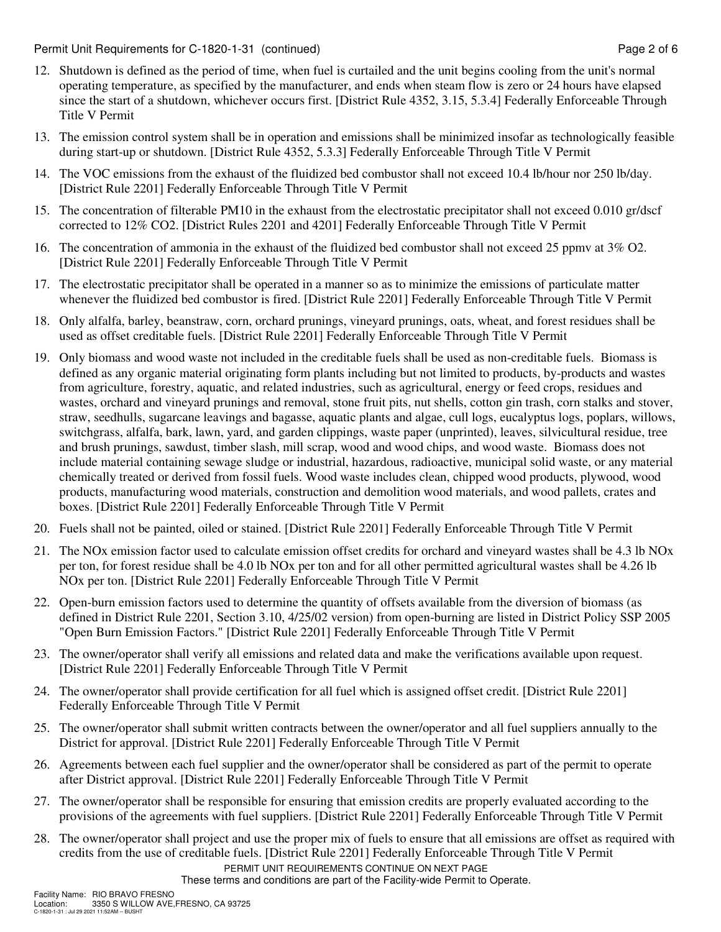Permit Unit Requirements for C-1820-1-31 (continued) example 2 of 6 second page 2 of 6

- 12. Shutdown is defined as the period of time, when fuel is curtailed and the unit begins cooling from the unit's normal operating temperature, as specified by the manufacturer, and ends when steam flow is zero or 24 hours have elapsed since the start of a shutdown, whichever occurs first. [District Rule 4352, 3.15, 5.3.4] Federally Enforceable Through Title V Permit
- 13. The emission control system shall be in operation and emissions shall be minimized insofar as technologically feasible during start-up or shutdown. [District Rule 4352, 5.3.3] Federally Enforceable Through Title V Permit
- 14. The VOC emissions from the exhaust of the fluidized bed combustor shall not exceed 10.4 lb/hour nor 250 lb/day. [District Rule 2201] Federally Enforceable Through Title V Permit
- 15. The concentration of filterable PM10 in the exhaust from the electrostatic precipitator shall not exceed 0.010 gr/dscf corrected to 12% CO2. [District Rules 2201 and 4201] Federally Enforceable Through Title V Permit
- 16. The concentration of ammonia in the exhaust of the fluidized bed combustor shall not exceed 25 ppmv at 3% O2. [District Rule 2201] Federally Enforceable Through Title V Permit
- 17. The electrostatic precipitator shall be operated in a manner so as to minimize the emissions of particulate matter whenever the fluidized bed combustor is fired. [District Rule 2201] Federally Enforceable Through Title V Permit
- 18. Only alfalfa, barley, beanstraw, corn, orchard prunings, vineyard prunings, oats, wheat, and forest residues shall be used as offset creditable fuels. [District Rule 2201] Federally Enforceable Through Title V Permit
- 19. Only biomass and wood waste not included in the creditable fuels shall be used as non-creditable fuels. Biomass is defined as any organic material originating form plants including but not limited to products, by-products and wastes from agriculture, forestry, aquatic, and related industries, such as agricultural, energy or feed crops, residues and wastes, orchard and vineyard prunings and removal, stone fruit pits, nut shells, cotton gin trash, corn stalks and stover, straw, seedhulls, sugarcane leavings and bagasse, aquatic plants and algae, cull logs, eucalyptus logs, poplars, willows, switchgrass, alfalfa, bark, lawn, yard, and garden clippings, waste paper (unprinted), leaves, silvicultural residue, tree and brush prunings, sawdust, timber slash, mill scrap, wood and wood chips, and wood waste. Biomass does not include material containing sewage sludge or industrial, hazardous, radioactive, municipal solid waste, or any material chemically treated or derived from fossil fuels. Wood waste includes clean, chipped wood products, plywood, wood products, manufacturing wood materials, construction and demolition wood materials, and wood pallets, crates and boxes. [District Rule 2201] Federally Enforceable Through Title V Permit
- 20. Fuels shall not be painted, oiled or stained. [District Rule 2201] Federally Enforceable Through Title V Permit
- 21. The NOx emission factor used to calculate emission offset credits for orchard and vineyard wastes shall be 4.3 lb NOx per ton, for forest residue shall be 4.0 lb NOx per ton and for all other permitted agricultural wastes shall be 4.26 lb NOx per ton. [District Rule 2201] Federally Enforceable Through Title V Permit
- 22. Open-burn emission factors used to determine the quantity of offsets available from the diversion of biomass (as defined in District Rule 2201, Section 3.10, 4/25/02 version) from open-burning are listed in District Policy SSP 2005 "Open Burn Emission Factors." [District Rule 2201] Federally Enforceable Through Title V Permit
- 23. The owner/operator shall verify all emissions and related data and make the verifications available upon request. [District Rule 2201] Federally Enforceable Through Title V Permit
- 24. The owner/operator shall provide certification for all fuel which is assigned offset credit. [District Rule 2201] Federally Enforceable Through Title V Permit
- 25. The owner/operator shall submit written contracts between the owner/operator and all fuel suppliers annually to the District for approval. [District Rule 2201] Federally Enforceable Through Title V Permit
- 26. Agreements between each fuel supplier and the owner/operator shall be considered as part of the permit to operate after District approval. [District Rule 2201] Federally Enforceable Through Title V Permit
- 27. The owner/operator shall be responsible for ensuring that emission credits are properly evaluated according to the provisions of the agreements with fuel suppliers. [District Rule 2201] Federally Enforceable Through Title V Permit
- PERMIT UNIT REQUIREMENTS CONTINUE ON NEXT PAGE 28. The owner/operator shall project and use the proper mix of fuels to ensure that all emissions are offset as required with credits from the use of creditable fuels. [District Rule 2201] Federally Enforceable Through Title V Permit

These terms and conditions are part of the Facility-wide Permit to Operate.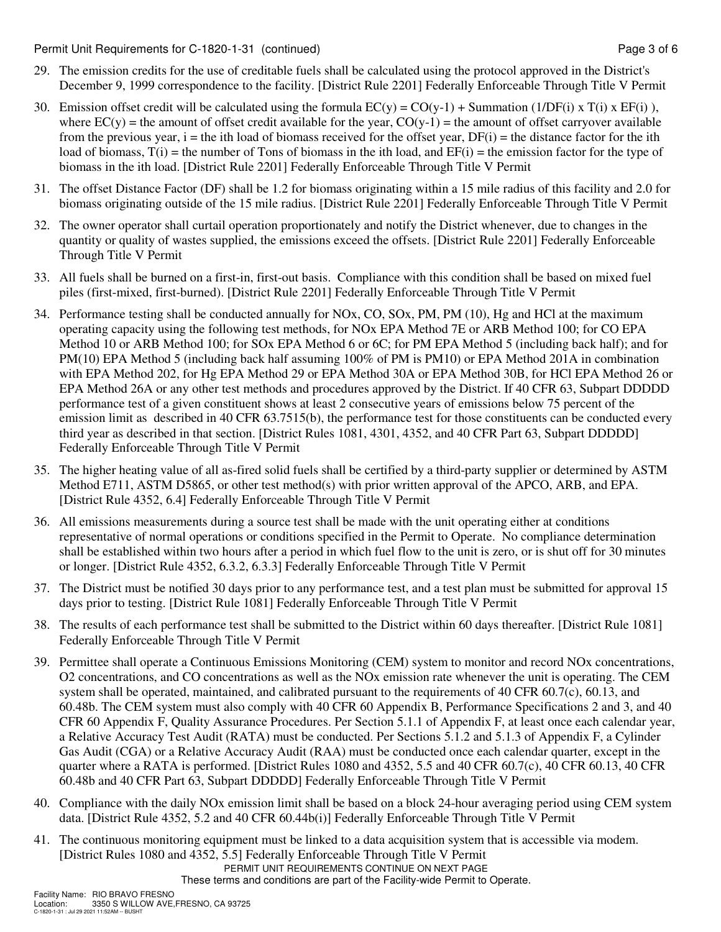Permit Unit Requirements for C-1820-1-31 (continued) example 2 and the state of the Page 3 of 6

- 29. The emission credits for the use of creditable fuels shall be calculated using the protocol approved in the District's December 9, 1999 correspondence to the facility. [District Rule 2201] Federally Enforceable Through Title V Permit
- 30. Emission offset credit will be calculated using the formula  $EC(y) = CO(y-1) + Summation (1/DF(i) \times T(i) \times EF(i)$ , where  $EC(y)$  = the amount of offset credit available for the year,  $CO(y-1)$  = the amount of offset carryover available from the previous year,  $i =$  the ith load of biomass received for the offset year,  $DF(i) =$  the distance factor for the ith load of biomass,  $T(i)$  = the number of Tons of biomass in the ith load, and  $EF(i)$  = the emission factor for the type of biomass in the ith load. [District Rule 2201] Federally Enforceable Through Title V Permit
- 31. The offset Distance Factor (DF) shall be 1.2 for biomass originating within a 15 mile radius of this facility and 2.0 for biomass originating outside of the 15 mile radius. [District Rule 2201] Federally Enforceable Through Title V Permit
- 32. The owner operator shall curtail operation proportionately and notify the District whenever, due to changes in the quantity or quality of wastes supplied, the emissions exceed the offsets. [District Rule 2201] Federally Enforceable Through Title V Permit
- 33. All fuels shall be burned on a first-in, first-out basis. Compliance with this condition shall be based on mixed fuel piles (first-mixed, first-burned). [District Rule 2201] Federally Enforceable Through Title V Permit
- 34. Performance testing shall be conducted annually for NOx, CO, SOx, PM, PM (10), Hg and HCl at the maximum operating capacity using the following test methods, for NOx EPA Method 7E or ARB Method 100; for CO EPA Method 10 or ARB Method 100; for SOx EPA Method 6 or 6C; for PM EPA Method 5 (including back half); and for PM(10) EPA Method 5 (including back half assuming 100% of PM is PM10) or EPA Method 201A in combination with EPA Method 202, for Hg EPA Method 29 or EPA Method 30A or EPA Method 30B, for HCl EPA Method 26 or EPA Method 26A or any other test methods and procedures approved by the District. If 40 CFR 63, Subpart DDDDD performance test of a given constituent shows at least 2 consecutive years of emissions below 75 percent of the emission limit as described in 40 CFR 63.7515(b), the performance test for those constituents can be conducted every third year as described in that section. [District Rules 1081, 4301, 4352, and 40 CFR Part 63, Subpart DDDDD] Federally Enforceable Through Title V Permit
- 35. The higher heating value of all as-fired solid fuels shall be certified by a third-party supplier or determined by ASTM Method E711, ASTM D5865, or other test method(s) with prior written approval of the APCO, ARB, and EPA. [District Rule 4352, 6.4] Federally Enforceable Through Title V Permit
- 36. All emissions measurements during a source test shall be made with the unit operating either at conditions representative of normal operations or conditions specified in the Permit to Operate. No compliance determination shall be established within two hours after a period in which fuel flow to the unit is zero, or is shut off for 30 minutes or longer. [District Rule 4352, 6.3.2, 6.3.3] Federally Enforceable Through Title V Permit
- 37. The District must be notified 30 days prior to any performance test, and a test plan must be submitted for approval 15 days prior to testing. [District Rule 1081] Federally Enforceable Through Title V Permit
- 38. The results of each performance test shall be submitted to the District within 60 days thereafter. [District Rule 1081] Federally Enforceable Through Title V Permit
- 39. Permittee shall operate a Continuous Emissions Monitoring (CEM) system to monitor and record NOx concentrations, O2 concentrations, and CO concentrations as well as the NOx emission rate whenever the unit is operating. The CEM system shall be operated, maintained, and calibrated pursuant to the requirements of 40 CFR 60.7(c), 60.13, and 60.48b. The CEM system must also comply with 40 CFR 60 Appendix B, Performance Specifications 2 and 3, and 40 CFR 60 Appendix F, Quality Assurance Procedures. Per Section 5.1.1 of Appendix F, at least once each calendar year, a Relative Accuracy Test Audit (RATA) must be conducted. Per Sections 5.1.2 and 5.1.3 of Appendix F, a Cylinder Gas Audit (CGA) or a Relative Accuracy Audit (RAA) must be conducted once each calendar quarter, except in the quarter where a RATA is performed. [District Rules 1080 and 4352, 5.5 and 40 CFR 60.7(c), 40 CFR 60.13, 40 CFR 60.48b and 40 CFR Part 63, Subpart DDDDD] Federally Enforceable Through Title V Permit
- 40. Compliance with the daily NOx emission limit shall be based on a block 24-hour averaging period using CEM system data. [District Rule 4352, 5.2 and 40 CFR 60.44b(i)] Federally Enforceable Through Title V Permit
- PERMIT UNIT REQUIREMENTS CONTINUE ON NEXT PAGE 41. The continuous monitoring equipment must be linked to a data acquisition system that is accessible via modem. [District Rules 1080 and 4352, 5.5] Federally Enforceable Through Title V Permit

These terms and conditions are part of the Facility-wide Permit to Operate.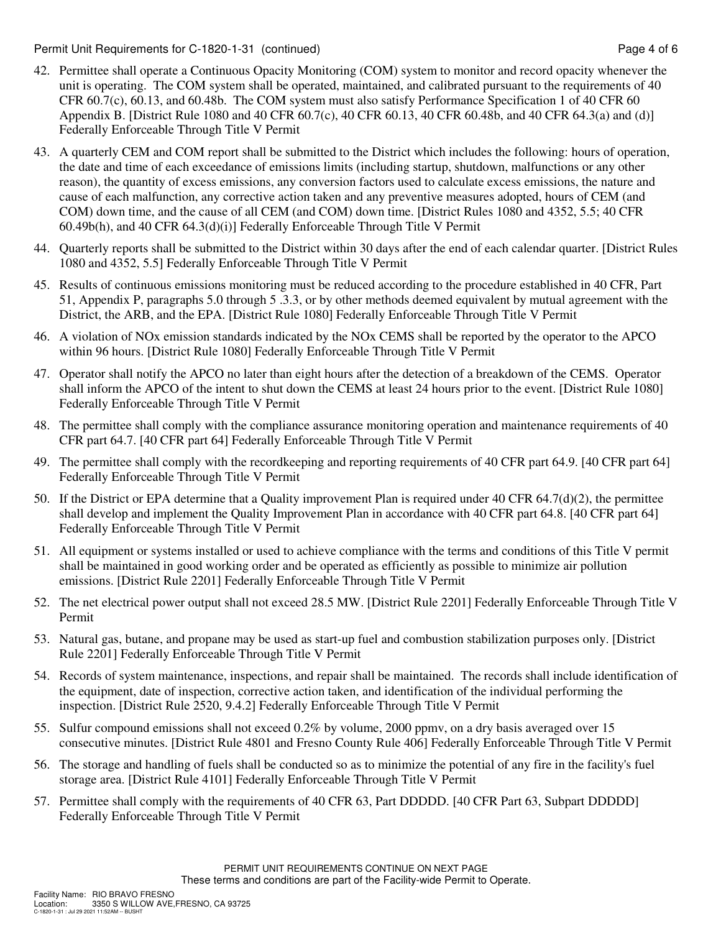Permit Unit Requirements for C-1820-1-31 (continued) example 2 and the example of 6 second page 4 of 6

- 42. Permittee shall operate a Continuous Opacity Monitoring (COM) system to monitor and record opacity whenever the unit is operating. The COM system shall be operated, maintained, and calibrated pursuant to the requirements of 40 CFR 60.7(c), 60.13, and 60.48b. The COM system must also satisfy Performance Specification 1 of 40 CFR 60 Appendix B. [District Rule 1080 and 40 CFR 60.7(c), 40 CFR 60.13, 40 CFR 60.48b, and 40 CFR 64.3(a) and (d)] Federally Enforceable Through Title V Permit
- 43. A quarterly CEM and COM report shall be submitted to the District which includes the following: hours of operation, the date and time of each exceedance of emissions limits (including startup, shutdown, malfunctions or any other reason), the quantity of excess emissions, any conversion factors used to calculate excess emissions, the nature and cause of each malfunction, any corrective action taken and any preventive measures adopted, hours of CEM (and COM) down time, and the cause of all CEM (and COM) down time. [District Rules 1080 and 4352, 5.5; 40 CFR 60.49b(h), and 40 CFR 64.3(d)(i)] Federally Enforceable Through Title V Permit
- 44. Quarterly reports shall be submitted to the District within 30 days after the end of each calendar quarter. [District Rules 1080 and 4352, 5.5] Federally Enforceable Through Title V Permit
- 45. Results of continuous emissions monitoring must be reduced according to the procedure established in 40 CFR, Part 51, Appendix P, paragraphs 5.0 through 5 .3.3, or by other methods deemed equivalent by mutual agreement with the District, the ARB, and the EPA. [District Rule 1080] Federally Enforceable Through Title V Permit
- 46. A violation of NOx emission standards indicated by the NOx CEMS shall be reported by the operator to the APCO within 96 hours. [District Rule 1080] Federally Enforceable Through Title V Permit
- 47. Operator shall notify the APCO no later than eight hours after the detection of a breakdown of the CEMS. Operator shall inform the APCO of the intent to shut down the CEMS at least 24 hours prior to the event. [District Rule 1080] Federally Enforceable Through Title V Permit
- 48. The permittee shall comply with the compliance assurance monitoring operation and maintenance requirements of 40 CFR part 64.7. [40 CFR part 64] Federally Enforceable Through Title V Permit
- 49. The permittee shall comply with the recordkeeping and reporting requirements of 40 CFR part 64.9. [40 CFR part 64] Federally Enforceable Through Title V Permit
- 50. If the District or EPA determine that a Quality improvement Plan is required under 40 CFR 64.7(d)(2), the permittee shall develop and implement the Quality Improvement Plan in accordance with 40 CFR part 64.8. [40 CFR part 64] Federally Enforceable Through Title V Permit
- 51. All equipment or systems installed or used to achieve compliance with the terms and conditions of this Title V permit shall be maintained in good working order and be operated as efficiently as possible to minimize air pollution emissions. [District Rule 2201] Federally Enforceable Through Title V Permit
- 52. The net electrical power output shall not exceed 28.5 MW. [District Rule 2201] Federally Enforceable Through Title V Permit
- 53. Natural gas, butane, and propane may be used as start-up fuel and combustion stabilization purposes only. [District Rule 2201] Federally Enforceable Through Title V Permit
- 54. Records of system maintenance, inspections, and repair shall be maintained. The records shall include identification of the equipment, date of inspection, corrective action taken, and identification of the individual performing the inspection. [District Rule 2520, 9.4.2] Federally Enforceable Through Title V Permit
- 55. Sulfur compound emissions shall not exceed 0.2% by volume, 2000 ppmv, on a dry basis averaged over 15 consecutive minutes. [District Rule 4801 and Fresno County Rule 406] Federally Enforceable Through Title V Permit
- 56. The storage and handling of fuels shall be conducted so as to minimize the potential of any fire in the facility's fuel storage area. [District Rule 4101] Federally Enforceable Through Title V Permit
- 57. Permittee shall comply with the requirements of 40 CFR 63, Part DDDDD. [40 CFR Part 63, Subpart DDDDD] Federally Enforceable Through Title V Permit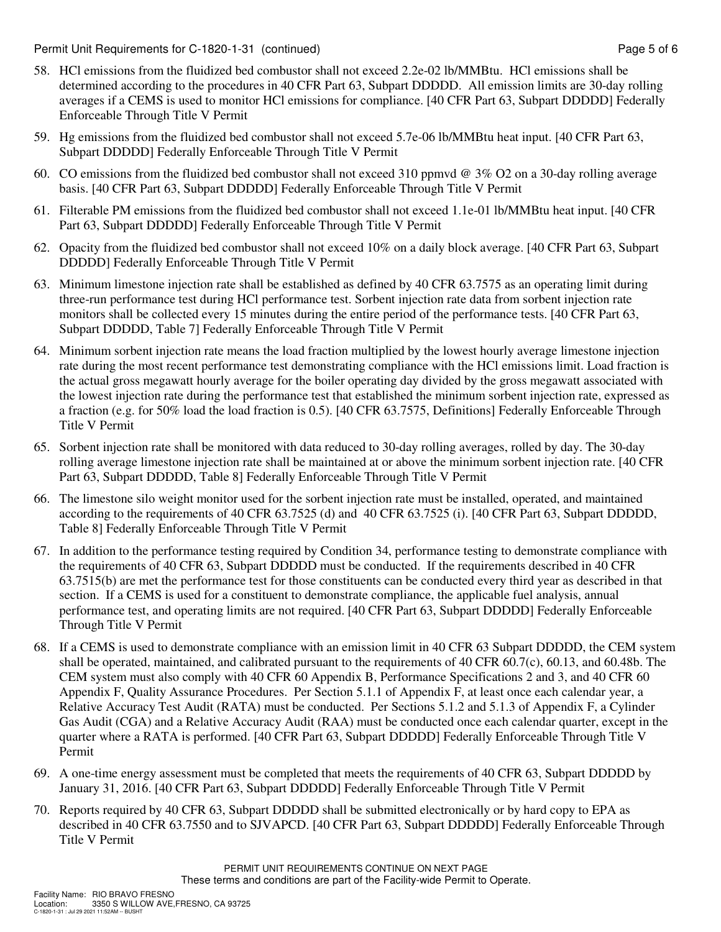Permit Unit Requirements for C-1820-1-31 (continued) example 2 and the state of the Page 5 of 6

- 58. HCl emissions from the fluidized bed combustor shall not exceed 2.2e-02 lb/MMBtu. HCl emissions shall be determined according to the procedures in 40 CFR Part 63, Subpart DDDDD. All emission limits are 30-day rolling averages if a CEMS is used to monitor HCl emissions for compliance. [40 CFR Part 63, Subpart DDDDD] Federally Enforceable Through Title V Permit
- 59. Hg emissions from the fluidized bed combustor shall not exceed 5.7e-06 lb/MMBtu heat input. [40 CFR Part 63, Subpart DDDDD] Federally Enforceable Through Title V Permit
- 60. CO emissions from the fluidized bed combustor shall not exceed 310 ppmvd @ 3% O2 on a 30-day rolling average basis. [40 CFR Part 63, Subpart DDDDD] Federally Enforceable Through Title V Permit
- 61. Filterable PM emissions from the fluidized bed combustor shall not exceed 1.1e-01 lb/MMBtu heat input. [40 CFR Part 63, Subpart DDDDD] Federally Enforceable Through Title V Permit
- 62. Opacity from the fluidized bed combustor shall not exceed 10% on a daily block average. [40 CFR Part 63, Subpart DDDDD] Federally Enforceable Through Title V Permit
- 63. Minimum limestone injection rate shall be established as defined by 40 CFR 63.7575 as an operating limit during three-run performance test during HCl performance test. Sorbent injection rate data from sorbent injection rate monitors shall be collected every 15 minutes during the entire period of the performance tests. [40 CFR Part 63, Subpart DDDDD, Table 7] Federally Enforceable Through Title V Permit
- 64. Minimum sorbent injection rate means the load fraction multiplied by the lowest hourly average limestone injection rate during the most recent performance test demonstrating compliance with the HCl emissions limit. Load fraction is the actual gross megawatt hourly average for the boiler operating day divided by the gross megawatt associated with the lowest injection rate during the performance test that established the minimum sorbent injection rate, expressed as a fraction (e.g. for 50% load the load fraction is 0.5). [40 CFR 63.7575, Definitions] Federally Enforceable Through Title V Permit
- 65. Sorbent injection rate shall be monitored with data reduced to 30-day rolling averages, rolled by day. The 30-day rolling average limestone injection rate shall be maintained at or above the minimum sorbent injection rate. [40 CFR Part 63, Subpart DDDDD, Table 8] Federally Enforceable Through Title V Permit
- 66. The limestone silo weight monitor used for the sorbent injection rate must be installed, operated, and maintained according to the requirements of 40 CFR 63.7525 (d) and 40 CFR 63.7525 (i). [40 CFR Part 63, Subpart DDDDD, Table 8] Federally Enforceable Through Title V Permit
- 67. In addition to the performance testing required by Condition 34, performance testing to demonstrate compliance with the requirements of 40 CFR 63, Subpart DDDDD must be conducted. If the requirements described in 40 CFR 63.7515(b) are met the performance test for those constituents can be conducted every third year as described in that section. If a CEMS is used for a constituent to demonstrate compliance, the applicable fuel analysis, annual performance test, and operating limits are not required. [40 CFR Part 63, Subpart DDDDD] Federally Enforceable Through Title V Permit
- 68. If a CEMS is used to demonstrate compliance with an emission limit in 40 CFR 63 Subpart DDDDD, the CEM system shall be operated, maintained, and calibrated pursuant to the requirements of 40 CFR 60.7(c), 60.13, and 60.48b. The CEM system must also comply with 40 CFR 60 Appendix B, Performance Specifications 2 and 3, and 40 CFR 60 Appendix F, Quality Assurance Procedures. Per Section 5.1.1 of Appendix F, at least once each calendar year, a Relative Accuracy Test Audit (RATA) must be conducted. Per Sections 5.1.2 and 5.1.3 of Appendix F, a Cylinder Gas Audit (CGA) and a Relative Accuracy Audit (RAA) must be conducted once each calendar quarter, except in the quarter where a RATA is performed. [40 CFR Part 63, Subpart DDDDD] Federally Enforceable Through Title V Permit
- 69. A one-time energy assessment must be completed that meets the requirements of 40 CFR 63, Subpart DDDDD by January 31, 2016. [40 CFR Part 63, Subpart DDDDD] Federally Enforceable Through Title V Permit
- 70. Reports required by 40 CFR 63, Subpart DDDDD shall be submitted electronically or by hard copy to EPA as described in 40 CFR 63.7550 and to SJVAPCD. [40 CFR Part 63, Subpart DDDDD] Federally Enforceable Through Title V Permit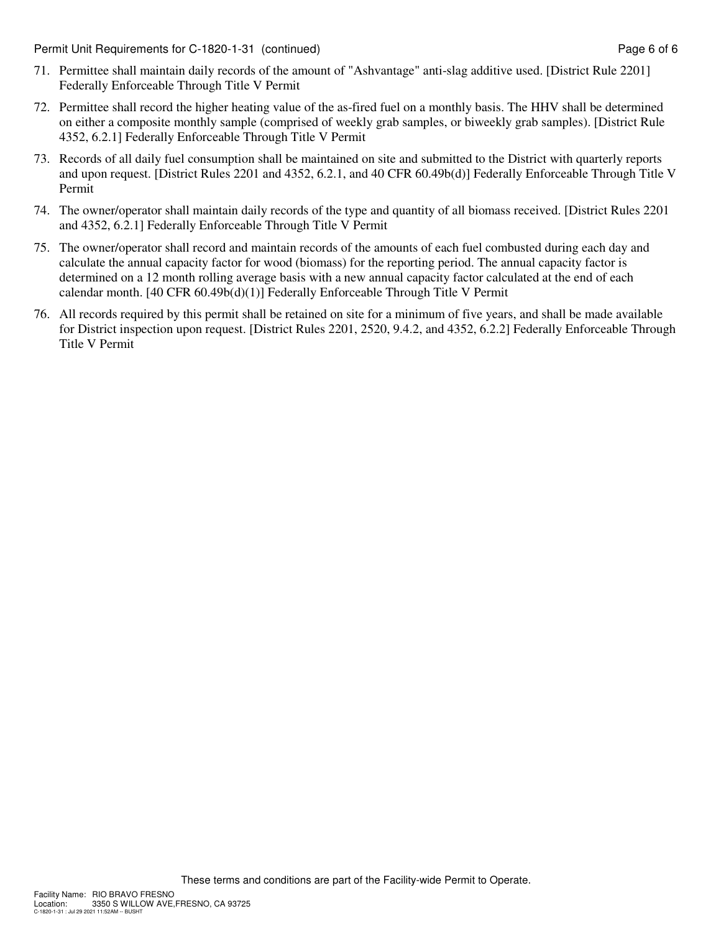Permit Unit Requirements for C-1820-1-31 (continued) example and the example of 6 of 6

- 71. Permittee shall maintain daily records of the amount of "Ashvantage" anti-slag additive used. [District Rule 2201] Federally Enforceable Through Title V Permit
- 72. Permittee shall record the higher heating value of the as-fired fuel on a monthly basis. The HHV shall be determined on either a composite monthly sample (comprised of weekly grab samples, or biweekly grab samples). [District Rule 4352, 6.2.1] Federally Enforceable Through Title V Permit
- 73. Records of all daily fuel consumption shall be maintained on site and submitted to the District with quarterly reports and upon request. [District Rules 2201 and 4352, 6.2.1, and 40 CFR 60.49b(d)] Federally Enforceable Through Title V Permit
- 74. The owner/operator shall maintain daily records of the type and quantity of all biomass received. [District Rules 2201 and 4352, 6.2.1] Federally Enforceable Through Title V Permit
- 75. The owner/operator shall record and maintain records of the amounts of each fuel combusted during each day and calculate the annual capacity factor for wood (biomass) for the reporting period. The annual capacity factor is determined on a 12 month rolling average basis with a new annual capacity factor calculated at the end of each calendar month. [40 CFR 60.49b(d)(1)] Federally Enforceable Through Title V Permit
- 76. All records required by this permit shall be retained on site for a minimum of five years, and shall be made available for District inspection upon request. [District Rules 2201, 2520, 9.4.2, and 4352, 6.2.2] Federally Enforceable Through Title V Permit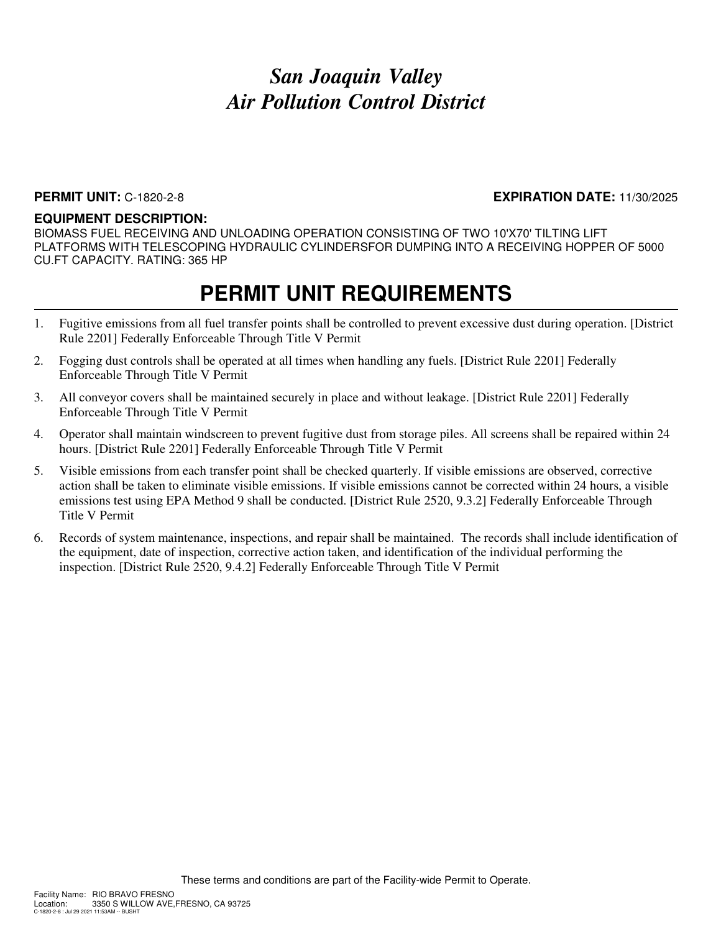### **PERMIT UNIT:** C-1820-2-8 **EXPIRATION DATE:** 11/30/2025

#### **EQUIPMENT DESCRIPTION:**

BIOMASS FUEL RECEIVING AND UNLOADING OPERATION CONSISTING OF TWO 10'X70' TILTING LIFT PLATFORMS WITH TELESCOPING HYDRAULIC CYLINDERSFOR DUMPING INTO A RECEIVING HOPPER OF 5000 CU.FT CAPACITY. RATING: 365 HP

- 1. Fugitive emissions from all fuel transfer points shall be controlled to prevent excessive dust during operation. [District Rule 2201] Federally Enforceable Through Title V Permit
- 2. Fogging dust controls shall be operated at all times when handling any fuels. [District Rule 2201] Federally Enforceable Through Title V Permit
- 3. All conveyor covers shall be maintained securely in place and without leakage. [District Rule 2201] Federally Enforceable Through Title V Permit
- 4. Operator shall maintain windscreen to prevent fugitive dust from storage piles. All screens shall be repaired within 24 hours. [District Rule 2201] Federally Enforceable Through Title V Permit
- 5. Visible emissions from each transfer point shall be checked quarterly. If visible emissions are observed, corrective action shall be taken to eliminate visible emissions. If visible emissions cannot be corrected within 24 hours, a visible emissions test using EPA Method 9 shall be conducted. [District Rule 2520, 9.3.2] Federally Enforceable Through Title V Permit
- 6. Records of system maintenance, inspections, and repair shall be maintained. The records shall include identification of the equipment, date of inspection, corrective action taken, and identification of the individual performing the inspection. [District Rule 2520, 9.4.2] Federally Enforceable Through Title V Permit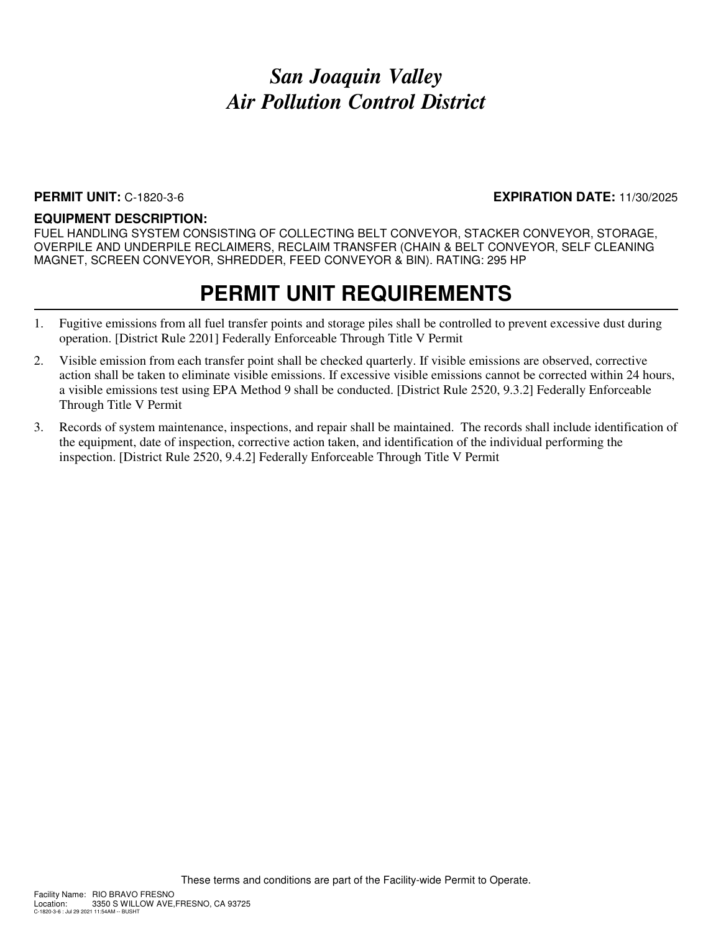#### **PERMIT UNIT:** C-1820-3-6 **EXPIRATION DATE:** 11/30/2025

#### **EQUIPMENT DESCRIPTION:**

FUEL HANDLING SYSTEM CONSISTING OF COLLECTING BELT CONVEYOR, STACKER CONVEYOR, STORAGE, OVERPILE AND UNDERPILE RECLAIMERS, RECLAIM TRANSFER (CHAIN & BELT CONVEYOR, SELF CLEANING MAGNET, SCREEN CONVEYOR, SHREDDER, FEED CONVEYOR & BIN). RATING: 295 HP

- 1. Fugitive emissions from all fuel transfer points and storage piles shall be controlled to prevent excessive dust during operation. [District Rule 2201] Federally Enforceable Through Title V Permit
- 2. Visible emission from each transfer point shall be checked quarterly. If visible emissions are observed, corrective action shall be taken to eliminate visible emissions. If excessive visible emissions cannot be corrected within 24 hours, a visible emissions test using EPA Method 9 shall be conducted. [District Rule 2520, 9.3.2] Federally Enforceable Through Title V Permit
- 3. Records of system maintenance, inspections, and repair shall be maintained. The records shall include identification of the equipment, date of inspection, corrective action taken, and identification of the individual performing the inspection. [District Rule 2520, 9.4.2] Federally Enforceable Through Title V Permit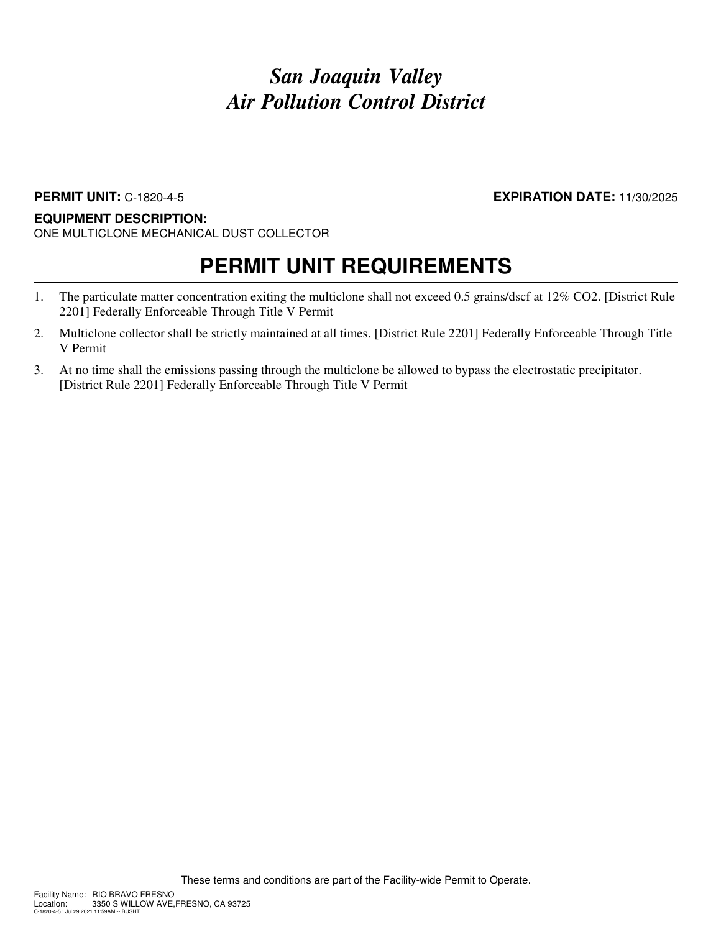### **PERMIT UNIT:** C-1820-4-5 **EXPIRATION DATE:** 11/30/2025

### **EQUIPMENT DESCRIPTION:**

ONE MULTICLONE MECHANICAL DUST COLLECTOR

- 1. The particulate matter concentration exiting the multiclone shall not exceed 0.5 grains/dscf at 12% CO2. [District Rule 2201] Federally Enforceable Through Title V Permit
- 2. Multiclone collector shall be strictly maintained at all times. [District Rule 2201] Federally Enforceable Through Title V Permit
- 3. At no time shall the emissions passing through the multiclone be allowed to bypass the electrostatic precipitator. [District Rule 2201] Federally Enforceable Through Title V Permit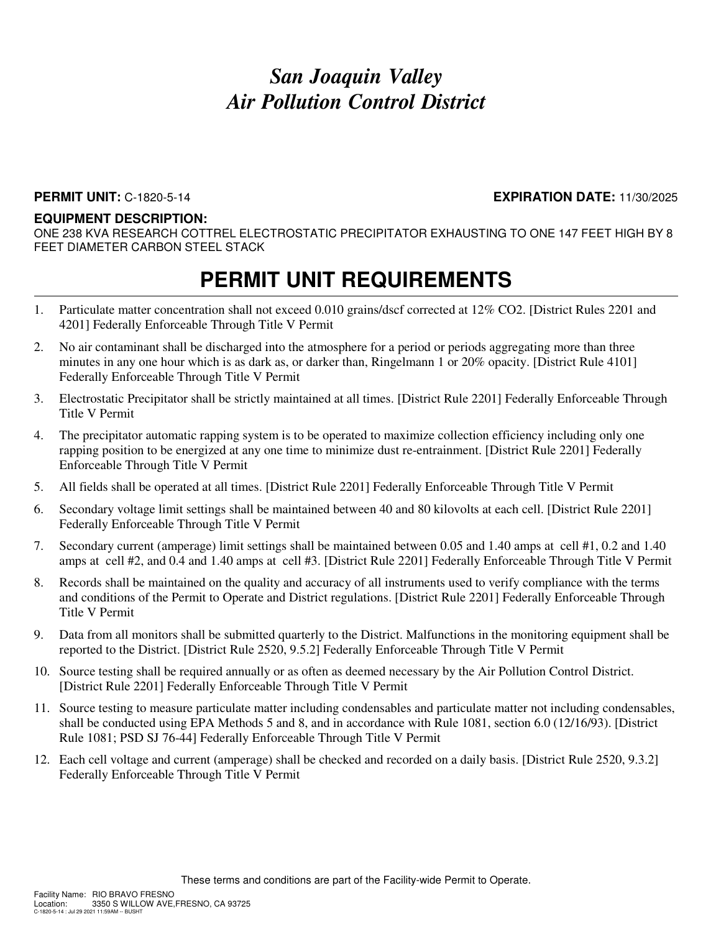#### **PERMIT UNIT:** C-1820-5-14 **EXPIRATION DATE:** 11/30/2025

#### **EQUIPMENT DESCRIPTION:**

ONE 238 KVA RESEARCH COTTREL ELECTROSTATIC PRECIPITATOR EXHAUSTING TO ONE 147 FEET HIGH BY 8 FEET DIAMETER CARBON STEEL STACK

- 1. Particulate matter concentration shall not exceed 0.010 grains/dscf corrected at 12% CO2. [District Rules 2201 and 4201] Federally Enforceable Through Title V Permit
- 2. No air contaminant shall be discharged into the atmosphere for a period or periods aggregating more than three minutes in any one hour which is as dark as, or darker than, Ringelmann 1 or 20% opacity. [District Rule 4101] Federally Enforceable Through Title V Permit
- 3. Electrostatic Precipitator shall be strictly maintained at all times. [District Rule 2201] Federally Enforceable Through Title V Permit
- 4. The precipitator automatic rapping system is to be operated to maximize collection efficiency including only one rapping position to be energized at any one time to minimize dust re-entrainment. [District Rule 2201] Federally Enforceable Through Title V Permit
- 5. All fields shall be operated at all times. [District Rule 2201] Federally Enforceable Through Title V Permit
- 6. Secondary voltage limit settings shall be maintained between 40 and 80 kilovolts at each cell. [District Rule 2201] Federally Enforceable Through Title V Permit
- 7. Secondary current (amperage) limit settings shall be maintained between 0.05 and 1.40 amps at cell #1, 0.2 and 1.40 amps at cell #2, and 0.4 and 1.40 amps at cell #3. [District Rule 2201] Federally Enforceable Through Title V Permit
- 8. Records shall be maintained on the quality and accuracy of all instruments used to verify compliance with the terms and conditions of the Permit to Operate and District regulations. [District Rule 2201] Federally Enforceable Through Title V Permit
- 9. Data from all monitors shall be submitted quarterly to the District. Malfunctions in the monitoring equipment shall be reported to the District. [District Rule 2520, 9.5.2] Federally Enforceable Through Title V Permit
- 10. Source testing shall be required annually or as often as deemed necessary by the Air Pollution Control District. [District Rule 2201] Federally Enforceable Through Title V Permit
- 11. Source testing to measure particulate matter including condensables and particulate matter not including condensables, shall be conducted using EPA Methods 5 and 8, and in accordance with Rule 1081, section 6.0 (12/16/93). [District Rule 1081; PSD SJ 76-44] Federally Enforceable Through Title V Permit
- 12. Each cell voltage and current (amperage) shall be checked and recorded on a daily basis. [District Rule 2520, 9.3.2] Federally Enforceable Through Title V Permit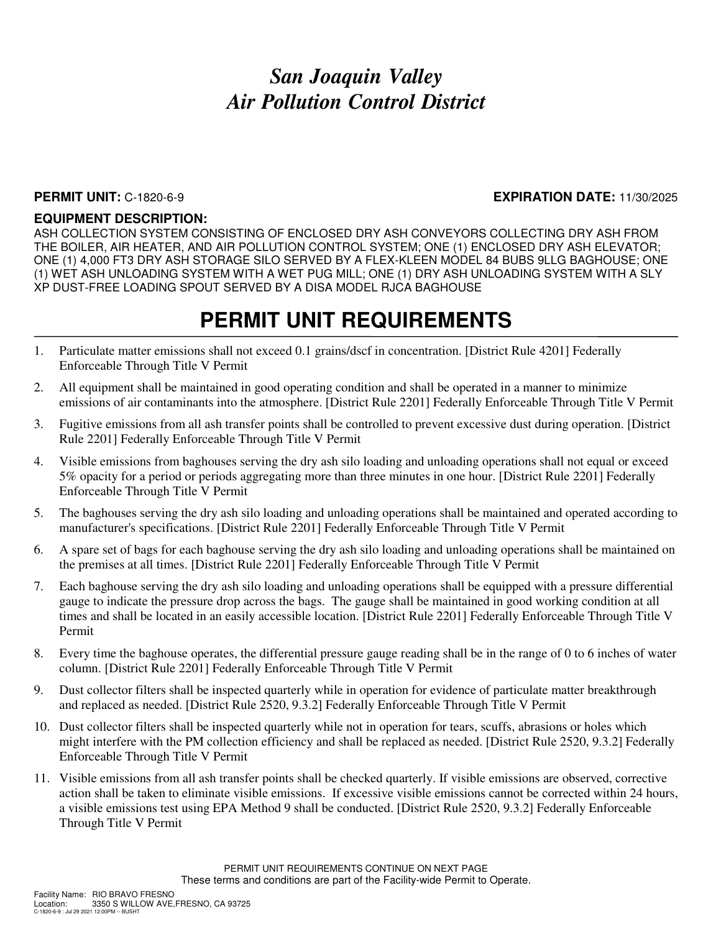#### **PERMIT UNIT:** C-1820-6-9 **EXPIRATION DATE:** 11/30/2025

### **EQUIPMENT DESCRIPTION:**

ASH COLLECTION SYSTEM CONSISTING OF ENCLOSED DRY ASH CONVEYORS COLLECTING DRY ASH FROM THE BOILER, AIR HEATER, AND AIR POLLUTION CONTROL SYSTEM; ONE (1) ENCLOSED DRY ASH ELEVATOR; ONE (1) 4,000 FT3 DRY ASH STORAGE SILO SERVED BY A FLEX-KLEEN MODEL 84 BUBS 9LLG BAGHOUSE; ONE (1) WET ASH UNLOADING SYSTEM WITH A WET PUG MILL; ONE (1) DRY ASH UNLOADING SYSTEM WITH A SLY XP DUST-FREE LOADING SPOUT SERVED BY A DISA MODEL RJCA BAGHOUSE

- 1. Particulate matter emissions shall not exceed 0.1 grains/dscf in concentration. [District Rule 4201] Federally Enforceable Through Title V Permit
- 2. All equipment shall be maintained in good operating condition and shall be operated in a manner to minimize emissions of air contaminants into the atmosphere. [District Rule 2201] Federally Enforceable Through Title V Permit
- 3. Fugitive emissions from all ash transfer points shall be controlled to prevent excessive dust during operation. [District Rule 2201] Federally Enforceable Through Title V Permit
- 4. Visible emissions from baghouses serving the dry ash silo loading and unloading operations shall not equal or exceed 5% opacity for a period or periods aggregating more than three minutes in one hour. [District Rule 2201] Federally Enforceable Through Title V Permit
- 5. The baghouses serving the dry ash silo loading and unloading operations shall be maintained and operated according to manufacturer's specifications. [District Rule 2201] Federally Enforceable Through Title V Permit
- 6. A spare set of bags for each baghouse serving the dry ash silo loading and unloading operations shall be maintained on the premises at all times. [District Rule 2201] Federally Enforceable Through Title V Permit
- 7. Each baghouse serving the dry ash silo loading and unloading operations shall be equipped with a pressure differential gauge to indicate the pressure drop across the bags. The gauge shall be maintained in good working condition at all times and shall be located in an easily accessible location. [District Rule 2201] Federally Enforceable Through Title V Permit
- 8. Every time the baghouse operates, the differential pressure gauge reading shall be in the range of 0 to 6 inches of water column. [District Rule 2201] Federally Enforceable Through Title V Permit
- 9. Dust collector filters shall be inspected quarterly while in operation for evidence of particulate matter breakthrough and replaced as needed. [District Rule 2520, 9.3.2] Federally Enforceable Through Title V Permit
- 10. Dust collector filters shall be inspected quarterly while not in operation for tears, scuffs, abrasions or holes which might interfere with the PM collection efficiency and shall be replaced as needed. [District Rule 2520, 9.3.2] Federally Enforceable Through Title V Permit
- 11. Visible emissions from all ash transfer points shall be checked quarterly. If visible emissions are observed, corrective action shall be taken to eliminate visible emissions. If excessive visible emissions cannot be corrected within 24 hours, a visible emissions test using EPA Method 9 shall be conducted. [District Rule 2520, 9.3.2] Federally Enforceable Through Title V Permit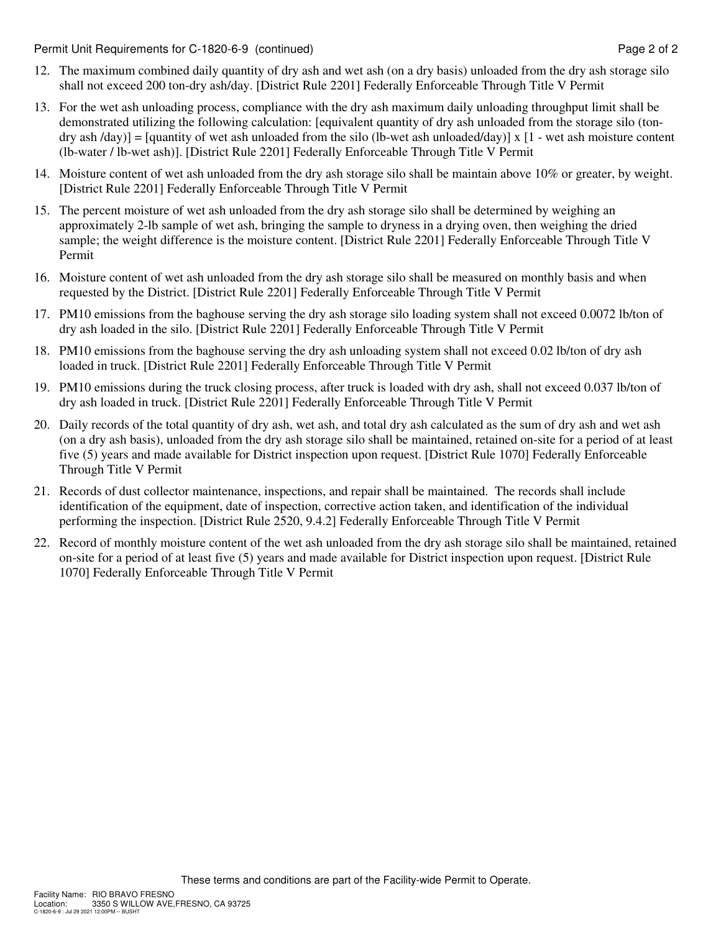Permit Unit Requirements for C-1820-6-9 (continued) Page 2 of 2

- 12. The maximum combined daily quantity of dry ash and wet ash (on a dry basis) unloaded from the dry ash storage silo shall not exceed 200 ton-dry ash/day. [District Rule 2201] Federally Enforceable Through Title V Permit
- 13. For the wet ash unloading process, compliance with the dry ash maximum daily unloading throughput limit shall be demonstrated utilizing the following calculation: [equivalent quantity of dry ash unloaded from the storage silo (tondry ash  $\langle$ day)] = [quantity of wet ash unloaded from the silo (lb-wet ash unloaded $\langle$ day)] x [1 - wet ash moisture content (lb-water / lb-wet ash)]. [District Rule 2201] Federally Enforceable Through Title V Permit
- 14. Moisture content of wet ash unloaded from the dry ash storage silo shall be maintain above 10% or greater, by weight. [District Rule 2201] Federally Enforceable Through Title V Permit
- 15. The percent moisture of wet ash unloaded from the dry ash storage silo shall be determined by weighing an approximately 2-lb sample of wet ash, bringing the sample to dryness in a drying oven, then weighing the dried sample; the weight difference is the moisture content. [District Rule 2201] Federally Enforceable Through Title V Permit
- 16. Moisture content of wet ash unloaded from the dry ash storage silo shall be measured on monthly basis and when requested by the District. [District Rule 2201] Federally Enforceable Through Title V Permit
- 17. PM10 emissions from the baghouse serving the dry ash storage silo loading system shall not exceed 0.0072 lb/ton of dry ash loaded in the silo. [District Rule 2201] Federally Enforceable Through Title V Permit
- 18. PM10 emissions from the baghouse serving the dry ash unloading system shall not exceed 0.02 lb/ton of dry ash loaded in truck. [District Rule 2201] Federally Enforceable Through Title V Permit
- 19. PM10 emissions during the truck closing process, after truck is loaded with dry ash, shall not exceed 0.037 lb/ton of dry ash loaded in truck. [District Rule 2201] Federally Enforceable Through Title V Permit
- 20. Daily records of the total quantity of dry ash, wet ash, and total dry ash calculated as the sum of dry ash and wet ash (on a dry ash basis), unloaded from the dry ash storage silo shall be maintained, retained on-site for a period of at least five (5) years and made available for District inspection upon request. [District Rule 1070] Federally Enforceable Through Title V Permit
- 21. Records of dust collector maintenance, inspections, and repair shall be maintained. The records shall include identification of the equipment, date of inspection, corrective action taken, and identification of the individual performing the inspection. [District Rule 2520, 9.4.2] Federally Enforceable Through Title V Permit
- 22. Record of monthly moisture content of the wet ash unloaded from the dry ash storage silo shall be maintained, retained on-site for a period of at least five (5) years and made available for District inspection upon request. [District Rule 1070] Federally Enforceable Through Title V Permit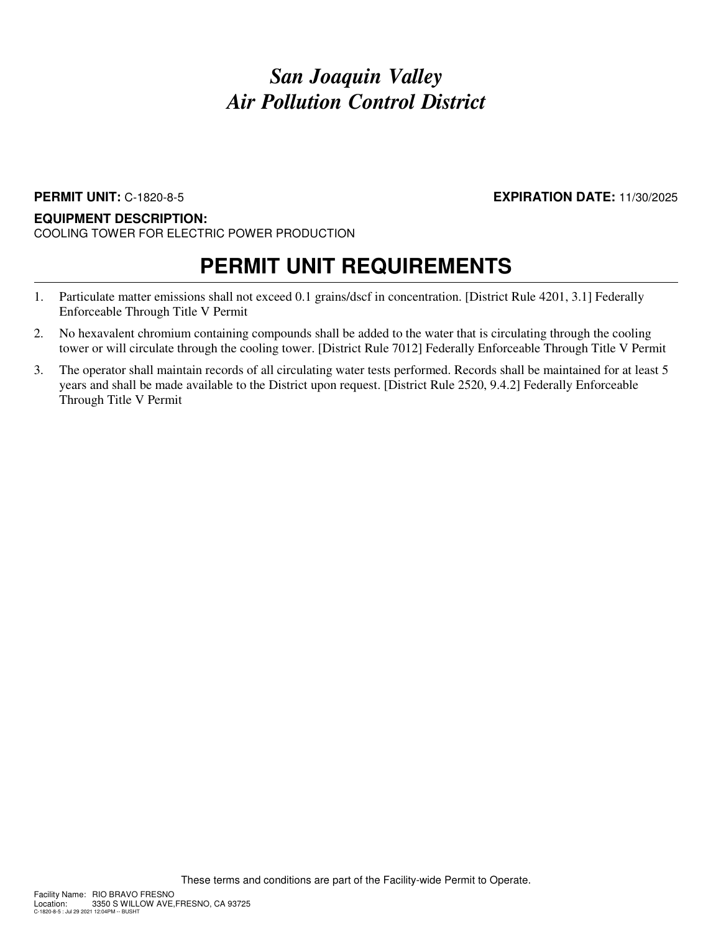### **PERMIT UNIT:** C-1820-8-5 **EXPIRATION DATE:** 11/30/2025

### **EQUIPMENT DESCRIPTION:**

COOLING TOWER FOR ELECTRIC POWER PRODUCTION

- 1. Particulate matter emissions shall not exceed 0.1 grains/dscf in concentration. [District Rule 4201, 3.1] Federally Enforceable Through Title V Permit
- 2. No hexavalent chromium containing compounds shall be added to the water that is circulating through the cooling tower or will circulate through the cooling tower. [District Rule 7012] Federally Enforceable Through Title V Permit
- 3. The operator shall maintain records of all circulating water tests performed. Records shall be maintained for at least 5 years and shall be made available to the District upon request. [District Rule 2520, 9.4.2] Federally Enforceable Through Title V Permit